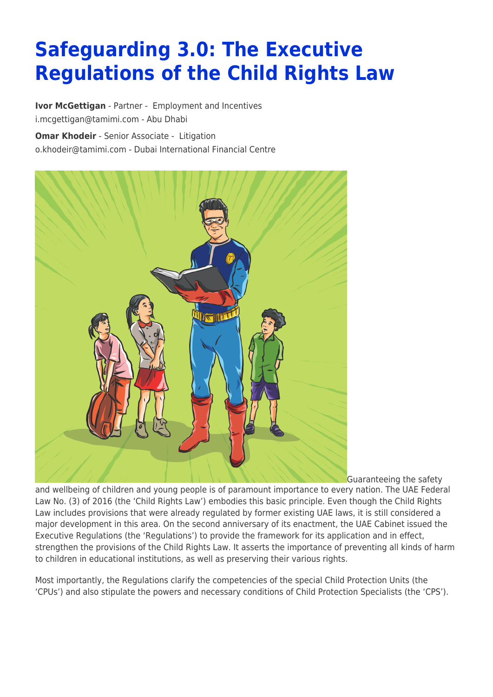# **Safeguarding 3.0: The Executive Regulations of the Child Rights Law**

**[Ivor McGettigan](https://www.tamimi.com/find-a-lawyer/ivor-mcgettigan/)** - Partner - [Employment and Incentives](https://www.tamimi.com/client-services/practices/employment-incentives/) [i.mcgettigan@tamimi.com](mailto:i.mcgettigan@tamimi.com) - [Abu Dhabi](https://www.tamimi.com/locations/uae/)

**[Omar Khodeir](https://www.tamimi.com/find-a-lawyer/omar-khodeir/)** - Senior Associate - [Litigation](https://www.tamimi.com/client-services/practices/litigation/) [o.khodeir@tamimi.com](mailto:o.khodeir@tamimi.com) - [Dubai International Financial Centre](https://www.tamimi.com/locations/uae/)



Guaranteeing the safety

and wellbeing of children and young people is of paramount importance to every nation. The UAE Federal Law No. (3) of 2016 (the 'Child Rights Law') embodies this basic principle. Even though the Child Rights Law includes provisions that were already regulated by former existing UAE laws, it is still considered a major development in this area. On the second anniversary of its enactment, the UAE Cabinet issued the Executive Regulations (the 'Regulations') to provide the framework for its application and in effect, strengthen the provisions of the Child Rights Law. It asserts the importance of preventing all kinds of harm to children in educational institutions, as well as preserving their various rights.

Most importantly, the Regulations clarify the competencies of the special Child Protection Units (the 'CPUs') and also stipulate the powers and necessary conditions of Child Protection Specialists (the 'CPS').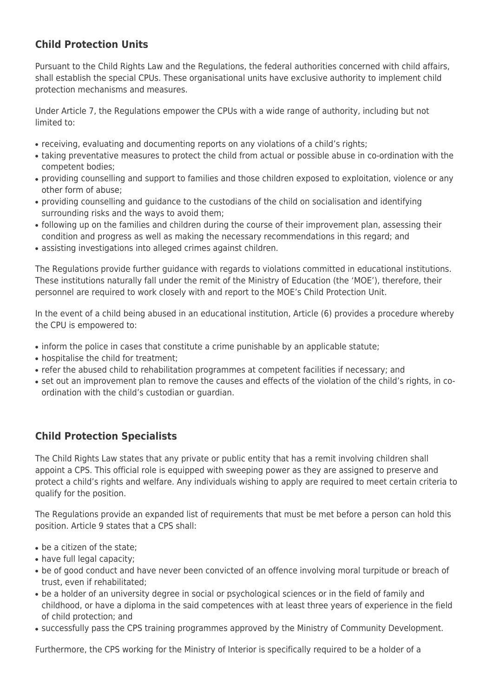## **Child Protection Units**

Pursuant to the Child Rights Law and the Regulations, the federal authorities concerned with child affairs, shall establish the special CPUs. These organisational units have exclusive authority to implement child protection mechanisms and measures.

Under Article 7, the Regulations empower the CPUs with a wide range of authority, including but not limited to:

- receiving, evaluating and documenting reports on any violations of a child's rights;
- taking preventative measures to protect the child from actual or possible abuse in co-ordination with the competent bodies;
- providing counselling and support to families and those children exposed to exploitation, violence or any other form of abuse;
- providing counselling and guidance to the custodians of the child on socialisation and identifying surrounding risks and the ways to avoid them;
- following up on the families and children during the course of their improvement plan, assessing their condition and progress as well as making the necessary recommendations in this regard; and
- assisting investigations into alleged crimes against children.

The Regulations provide further guidance with regards to violations committed in educational institutions. These institutions naturally fall under the remit of the Ministry of Education (the 'MOE'), therefore, their personnel are required to work closely with and report to the MOE's Child Protection Unit.

In the event of a child being abused in an educational institution, Article (6) provides a procedure whereby the CPU is empowered to:

- inform the police in cases that constitute a crime punishable by an applicable statute;
- hospitalise the child for treatment;
- refer the abused child to rehabilitation programmes at competent facilities if necessary; and
- set out an improvement plan to remove the causes and effects of the violation of the child's rights, in coordination with the child's custodian or guardian.

## **Child Protection Specialists**

The Child Rights Law states that any private or public entity that has a remit involving children shall appoint a CPS. This official role is equipped with sweeping power as they are assigned to preserve and protect a child's rights and welfare. Any individuals wishing to apply are required to meet certain criteria to qualify for the position.

The Regulations provide an expanded list of requirements that must be met before a person can hold this position. Article 9 states that a CPS shall:

- $\bullet$  be a citizen of the state:
- have full legal capacity;
- be of good conduct and have never been convicted of an offence involving moral turpitude or breach of trust, even if rehabilitated;
- be a holder of an university degree in social or psychological sciences or in the field of family and childhood, or have a diploma in the said competences with at least three years of experience in the field of child protection; and
- successfully pass the CPS training programmes approved by the Ministry of Community Development.

Furthermore, the CPS working for the Ministry of Interior is specifically required to be a holder of a